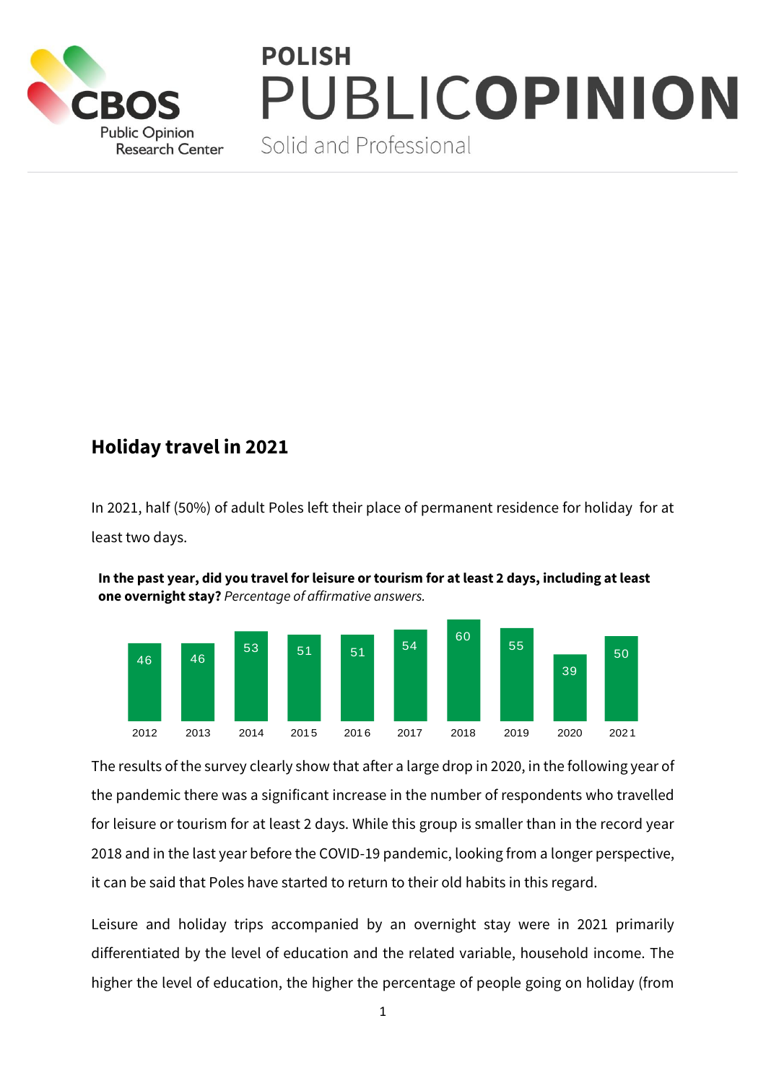

## **POLISH** PUBLICOPINION

Solid and Professional

## **Holiday travel in 2021**

In 2021, half (50%) of adult Poles left their place of permanent residence for holiday for at least two days.



**In the past year, did you travel for leisure or tourism for at least 2 days, including at least one overnight stay?** *Percentage of affirmative answers.*

The results of the survey clearly show that after a large drop in 2020, in the following year of the pandemic there was a significant increase in the number of respondents who travelled for leisure or tourism for at least 2 days. While this group is smaller than in the record year 2018 and in the last year before the COVID-19 pandemic, looking from a longer perspective, it can be said that Poles have started to return to their old habits in this regard.

Leisure and holiday trips accompanied by an overnight stay were in 2021 primarily differentiated by the level of education and the related variable, household income. The higher the level of education, the higher the percentage of people going on holiday (from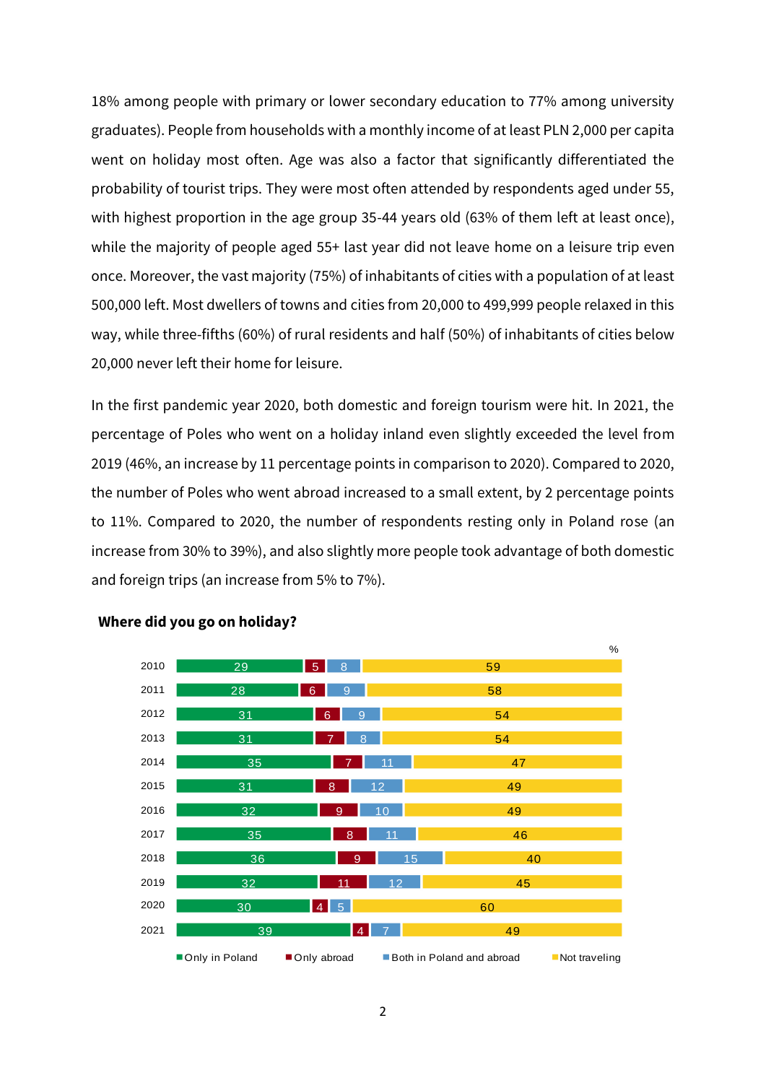18% among people with primary or lower secondary education to 77% among university graduates). People from households with a monthly income of at least PLN 2,000 per capita went on holiday most often. Age was also a factor that significantly differentiated the probability of tourist trips. They were most often attended by respondents aged under 55, with highest proportion in the age group 35-44 years old (63% of them left at least once), while the majority of people aged 55+ last year did not leave home on a leisure trip even once. Moreover, the vast majority (75%) of inhabitants of cities with a population of at least 500,000 left. Most dwellers of towns and cities from 20,000 to 499,999 people relaxed in this way, while three-fifths (60%) of rural residents and half (50%) of inhabitants of cities below 20,000 never left their home for leisure.

In the first pandemic year 2020, both domestic and foreign tourism were hit. In 2021, the percentage of Poles who went on a holiday inland even slightly exceeded the level from 2019 (46%, an increase by 11 percentage points in comparison to 2020). Compared to 2020, the number of Poles who went abroad increased to a small extent, by 2 percentage points to 11%. Compared to 2020, the number of respondents resting only in Poland rose (an increase from 30% to 39%), and also slightly more people took advantage of both domestic and foreign trips (an increase from 5% to 7%).



## **Where did you go on holiday?**